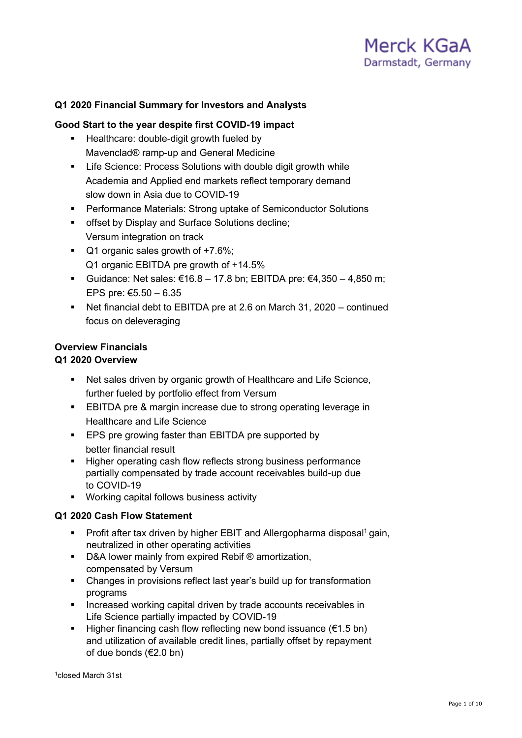

## **Q1 2020 Financial Summary for Investors and Analysts**

## **Good Start to the year despite first COVID-19 impact**

- **Healthcare: double-digit growth fueled by** Mavenclad® ramp-up and General Medicine
- **EXECT:** Life Science: Process Solutions with double digit growth while Academia and Applied end markets reflect temporary demand slow down in Asia due to COVID-19
- Performance Materials: Strong uptake of Semiconductor Solutions
- **offset by Display and Surface Solutions decline;** Versum integration on track
- Q1 organic sales growth of +7.6%; Q1 organic EBITDA pre growth of +14.5%
- Guidance: Net sales:  $€16.8 17.8$  bn; EBITDA pre:  $€4,350 4,850$  m; EPS pre: €5.50 – 6.35
- Net financial debt to EBITDA pre at 2.6 on March 31, 2020 continued focus on deleveraging

## **Overview Financials**

## **Q1 2020 Overview**

- Net sales driven by organic growth of Healthcare and Life Science, further fueled by portfolio effect from Versum
- **EBITDA** pre & margin increase due to strong operating leverage in Healthcare and Life Science
- **EPS pre growing faster than EBITDA pre supported by** better financial result
- **Higher operating cash flow reflects strong business performance** partially compensated by trade account receivables build-up due to COVID-19
- Working capital follows business activity

## **Q1 2020 Cash Flow Statement**

- **Profit after tax driven by higher EBIT and Allergopharma disposal<sup>1</sup> gain,** neutralized in other operating activities
- D&A lower mainly from expired Rebif <sup>®</sup> amortization, compensated by Versum
- Changes in provisions reflect last year's build up for transformation programs
- **Increased working capital driven by trade accounts receivables in** Life Science partially impacted by COVID-19
- Higher financing cash flow reflecting new bond issuance  $(€1.5 \text{ bn})$ and utilization of available credit lines, partially offset by repayment of due bonds (€2.0 bn)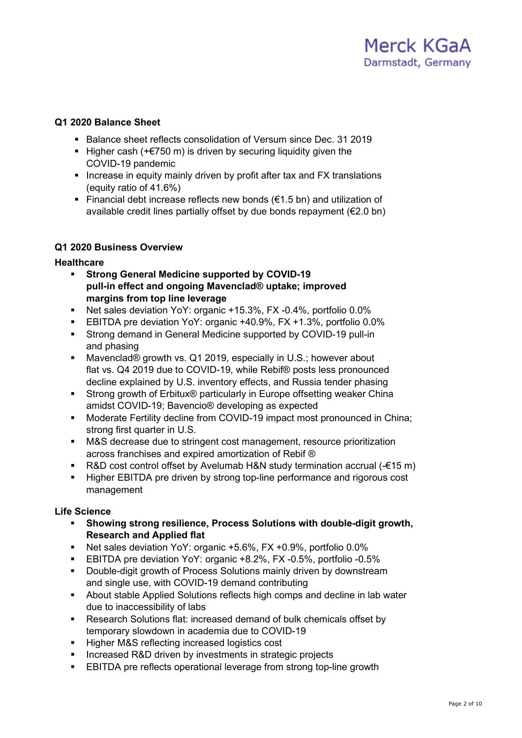## **Q1 2020 Balance Sheet**

- Balance sheet reflects consolidation of Versum since Dec. 31 2019
- Higher cash  $(+&750$  m) is driven by securing liquidity given the COVID-19 pandemic
- **Increase in equity mainly driven by profit after tax and FX translations** (equity ratio of 41.6%)
- Financial debt increase reflects new bonds ( $\epsilon$ 1.5 bn) and utilization of available credit lines partially offset by due bonds repayment (€2.0 bn)

## **Q1 2020 Business Overview**

## **Healthcare**

- **Strong General Medicine supported by COVID-19 pull-in effect and ongoing Mavenclad® uptake; improved margins from top line leverage**
- Net sales deviation YoY: organic +15.3%, FX -0.4%, portfolio 0.0%
- EBITDA pre deviation YoY: organic +40.9%, FX +1.3%, portfolio 0.0%
- Strong demand in General Medicine supported by COVID-19 pull-in and phasing
- Mavenclad® growth vs. Q1 2019, especially in U.S.; however about flat vs. Q4 2019 due to COVID-19, while Rebif® posts less pronounced decline explained by U.S. inventory effects, and Russia tender phasing
- Strong growth of Erbitux® particularly in Europe offsetting weaker China amidst COVID-19; Bavencio® developing as expected
- Moderate Fertility decline from COVID-19 impact most pronounced in China; strong first quarter in U.S.
- M&S decrease due to stringent cost management, resource prioritization across franchises and expired amortization of Rebif ®
- R&D cost control offset by Avelumab H&N study termination accrual (-€15 m)
- Higher EBITDA pre driven by strong top-line performance and rigorous cost management

## **Life Science**

- **Showing strong resilience, Process Solutions with double-digit growth, Research and Applied flat**
- Net sales deviation YoY: organic +5.6%, FX +0.9%, portfolio 0.0%
- EBITDA pre deviation YoY: organic +8.2%, FX -0.5%, portfolio -0.5%
- **Double-digit growth of Process Solutions mainly driven by downstream** and single use, with COVID-19 demand contributing
- About stable Applied Solutions reflects high comps and decline in lab water due to inaccessibility of labs
- Research Solutions flat: increased demand of bulk chemicals offset by temporary slowdown in academia due to COVID-19
- Higher M&S reflecting increased logistics cost
- **Increased R&D driven by investments in strategic projects**
- **EBITDA** pre reflects operational leverage from strong top-line growth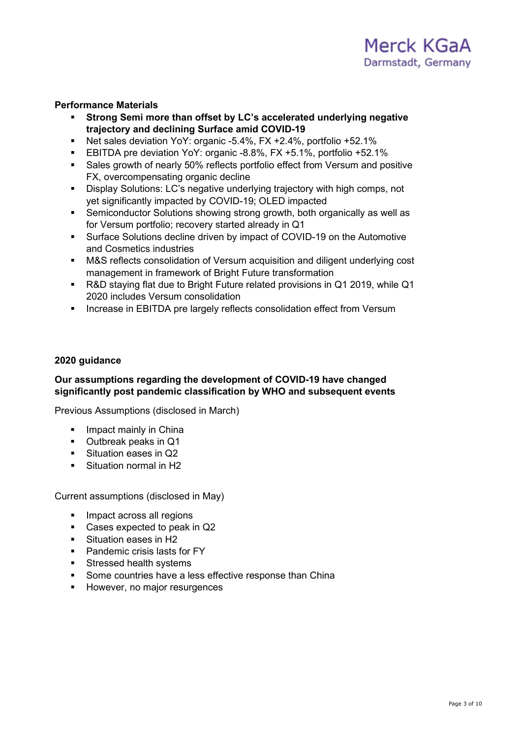## **Performance Materials**

- **Strong Semi more than offset by LC's accelerated underlying negative trajectory and declining Surface amid COVID-19**
- Net sales deviation YoY: organic -5.4%, FX +2.4%, portfolio +52.1%
- EBITDA pre deviation YoY: organic -8.8%, FX +5.1%, portfolio +52.1%
- Sales growth of nearly 50% reflects portfolio effect from Versum and positive FX, overcompensating organic decline
- Display Solutions: LC's negative underlying trajectory with high comps, not yet significantly impacted by COVID-19; OLED impacted
- Semiconductor Solutions showing strong growth, both organically as well as for Versum portfolio; recovery started already in Q1
- Surface Solutions decline driven by impact of COVID-19 on the Automotive and Cosmetics industries
- M&S reflects consolidation of Versum acquisition and diligent underlying cost management in framework of Bright Future transformation
- R&D staying flat due to Bright Future related provisions in Q1 2019, while Q1 2020 includes Versum consolidation
- **Increase in EBITDA pre largely reflects consolidation effect from Versum**

## **2020 guidance**

## **Our assumptions regarding the development of COVID-19 have changed significantly post pandemic classification by WHO and subsequent events**

Previous Assumptions (disclosed in March)

- **Impact mainly in China**
- Outbreak peaks in Q1
- Situation eases in Q2
- Situation normal in H<sub>2</sub>

Current assumptions (disclosed in May)

- Impact across all regions
- Cases expected to peak in Q2
- Situation eases in H2
- **Pandemic crisis lasts for FY**
- **Stressed health systems**
- **Some countries have a less effective response than China**
- However, no major resurgences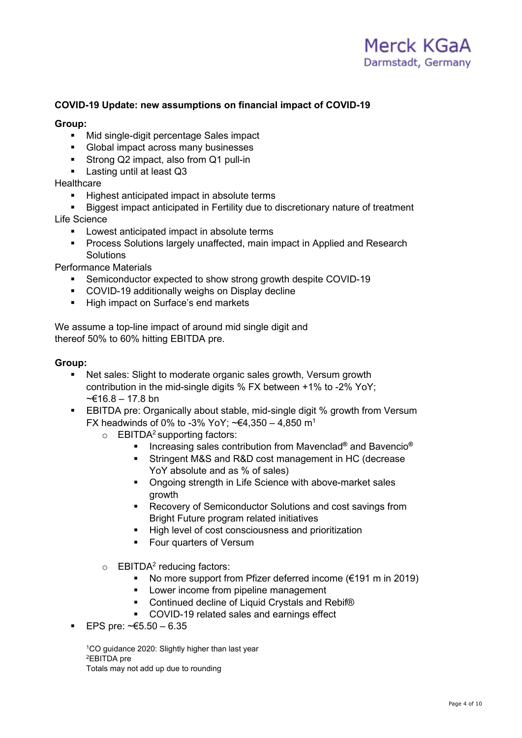## **COVID-19 Update: new assumptions on financial impact of COVID-19**

## **Group:**

- **Mid single-digit percentage Sales impact**
- Global impact across many businesses
- Strong Q2 impact, also from Q1 pull-in
- **Lasting until at least Q3**

## **Healthcare**

- **Highest anticipated impact in absolute terms**
- Biggest impact anticipated in Fertility due to discretionary nature of treatment
- Life Science
	- **Lowest anticipated impact in absolute terms**
	- Process Solutions largely unaffected, main impact in Applied and Research **Solutions**

Performance Materials

- Semiconductor expected to show strong growth despite COVID-19
- COVID-19 additionally weighs on Display decline
- High impact on Surface's end markets

We assume a top-line impact of around mid single digit and thereof 50% to 60% hitting EBITDA pre.

#### **Group:**

- Net sales: Slight to moderate organic sales growth, Versum growth contribution in the mid-single digits % FX between +1% to -2% YoY;  $~\leq$  16.8 − 17.8 bn
- EBITDA pre: Organically about stable, mid-single digit % growth from Versum FX headwinds of 0% to -3% YoY;  $\text{-}€4,350 - 4,850 \text{ m}^1$ 
	- $\circ$  EBITDA<sup>2</sup> supporting factors:
		- Increasing sales contribution from Mavenclad<sup>®</sup> and Bavencio<sup>®</sup>
		- Stringent M&S and R&D cost management in HC (decrease YoY absolute and as % of sales)
		- **Ongoing strength in Life Science with above-market sales** growth
		- **Recovery of Semiconductor Solutions and cost savings from** Bright Future program related initiatives
		- High level of cost consciousness and prioritization
		- Four quarters of Versum
	- $\circ$  EBITDA<sup>2</sup> reducing factors:
		- No more support from Pfizer deferred income  $(\epsilon 191 \text{ m in } 2019)$
		- **Lower income from pipeline management**
		- Continued decline of Liquid Crystals and Rebif<sup>®</sup>
		- **COVID-19 related sales and earnings effect**
- EPS pre: ~€5.50 6.35

1CO guidance 2020: Slightly higher than last year 2EBITDA pre Totals may not add up due to rounding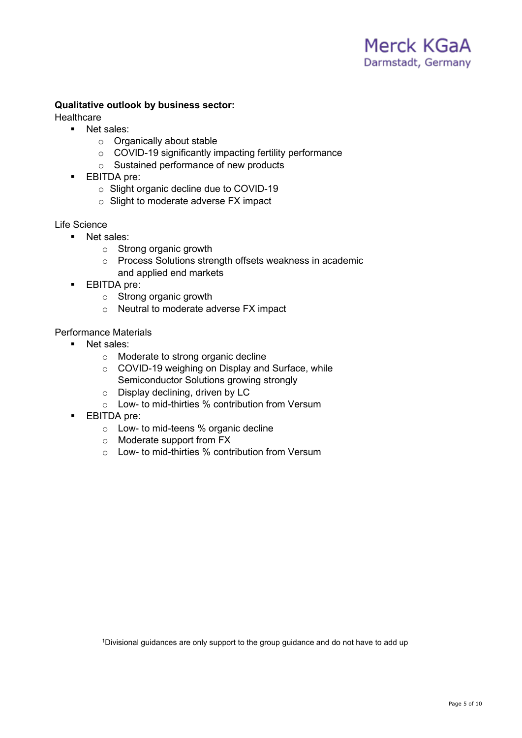## **Qualitative outlook by business sector:**

**Healthcare** 

- **Net sales:** 
	- o Organically about stable
	- o COVID-19 significantly impacting fertility performance
	- o Sustained performance of new products
- **EBITDA** pre:
	- o Slight organic decline due to COVID-19
	- o Slight to moderate adverse FX impact

#### Life Science

- **Net sales:** 
	- o Strong organic growth
	- o Process Solutions strength offsets weakness in academic and applied end markets
- **EBITDA** pre:
	- o Strong organic growth
	- o Neutral to moderate adverse FX impact

## Performance Materials

- **Net sales:** 
	- o Moderate to strong organic decline
	- o COVID-19 weighing on Display and Surface, while Semiconductor Solutions growing strongly
	- o Display declining, driven by LC
	- o Low- to mid-thirties % contribution from Versum
- **EBITDA** pre:
	- o Low- to mid-teens % organic decline
	- o Moderate support from FX
	- o Low- to mid-thirties % contribution from Versum

<sup>1</sup>Divisional guidances are only support to the group guidance and do not have to add up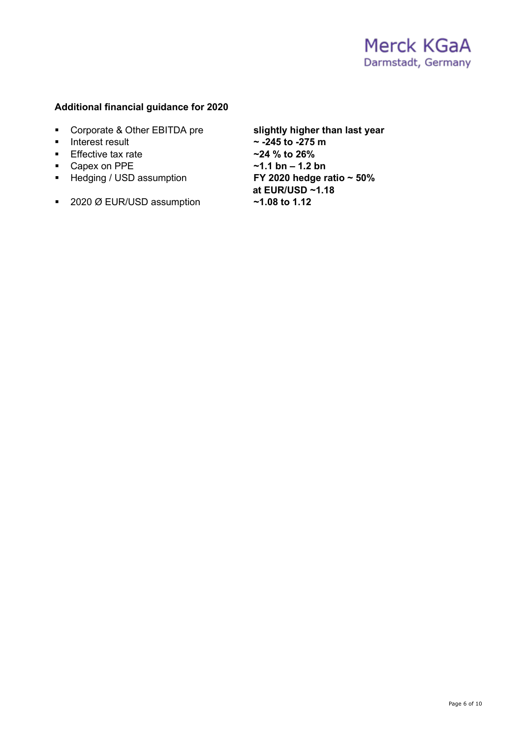## **Additional financial guidance for 2020**

- **Corporate & Other EBITDA pre slightly higher than last year**<br>
Interest result **the state in the state of the state of the state in the state of the state of the state of the state in the state of the state of the state**
- 
- **Effective tax rate**
- 
- **F** Hedging / USD assumption
- 2020 Ø EUR/USD assumption **~1.08 to 1.12**

- $\sim$  -245 to -275 m<br> $\sim$ 24 % to 26%
- Capex on PPE **a**<br>■ Hedging / USD assumption **1.2 bn FY 2020 hedge ratio ~ 50%** 
	- **at EUR/USD ~1.18**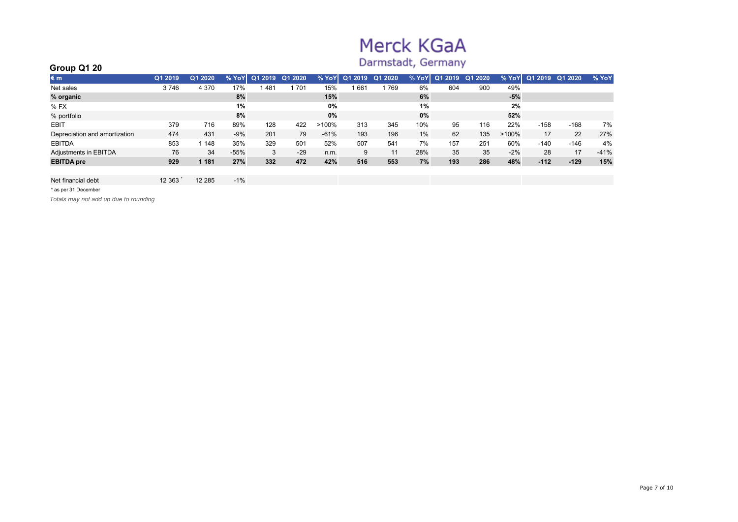# Merck KGaA

## Darmstadt, Germany

| Group Q1 20                   | -----------<br>________ |         |        |         |         |         |         |         |         |         |         |          |                 |         |        |
|-------------------------------|-------------------------|---------|--------|---------|---------|---------|---------|---------|---------|---------|---------|----------|-----------------|---------|--------|
| €m                            | Q1 2019                 | Q1 2020 | % YoY  | Q1 2019 | Q1 2020 | $%$ YoY | Q1 2019 | Q1 2020 | $%$ YoY | Q1 2019 | Q1 2020 |          | $%$ YoY Q1 2019 | Q1 2020 | % YoY  |
| Net sales                     | 3746                    | 4 370   | 17%    | .481    | 701     | 15%     | 661     | 769     | 6%      | 604     | 900     | 49%      |                 |         |        |
| % organic                     |                         |         | 8%     |         |         | 15%     |         |         | 6%      |         |         | $-5%$    |                 |         |        |
| $%$ FX                        |                         |         | 1%     |         |         | $0\%$   |         |         | 1%      |         |         | 2%       |                 |         |        |
| % portfolio                   |                         |         | 8%     |         |         | 0%      |         |         | 0%      |         |         | 52%      |                 |         |        |
| <b>EBIT</b>                   | 379                     | 716     | 89%    | 128     | 422     | >100%   | 313     | 345     | 10%     | 95      | 116     | 22%      | $-158$          | $-168$  | 7%     |
| Depreciation and amortization | 474                     | 431     | $-9%$  | 201     | 79      | $-61%$  | 193     | 196     | 1%      | 62      | 135     | $>100\%$ | 17              | 22      | 27%    |
| <b>EBITDA</b>                 | 853                     | 148     | 35%    | 329     | 501     | 52%     | 507     | 541     | 7%      | 157     | 251     | 60%      | $-140$          | $-146$  | 4%     |
| Adjustments in EBITDA         | 76                      | 34      | $-55%$ | 3       | $-29$   | n.m.    | 9       | 11      | 28%     | 35      | 35      | $-2%$    | 28              | 17      | $-41%$ |
| <b>EBITDA</b> pre             | 929                     | 1 181   | 27%    | 332     | 472     | 42%     | 516     | 553     | 7%      | 193     | 286     | 48%      | $-112$          | $-129$  | 15%    |
|                               |                         |         |        |         |         |         |         |         |         |         |         |          |                 |         |        |

#### Net financial debt 12 363 \* 12 285 -1%

\* as per 31 December

*Totals may not add up due to rounding*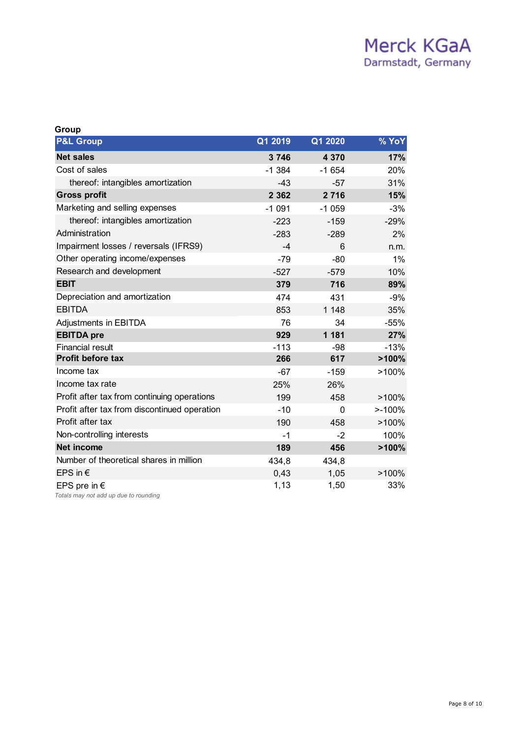| Group                                                          |          |         |            |
|----------------------------------------------------------------|----------|---------|------------|
| <b>P&amp;L Group</b>                                           | Q1 2019  | Q1 2020 | % YoY      |
| <b>Net sales</b>                                               | 3746     | 4 3 7 0 | <b>17%</b> |
| Cost of sales                                                  | $-1.384$ | $-1654$ | 20%        |
| thereof: intangibles amortization                              | $-43$    | $-57$   | 31%        |
| <b>Gross profit</b>                                            | 2 3 6 2  | 2 7 1 6 | 15%        |
| Marketing and selling expenses                                 | $-1091$  | $-1059$ | $-3%$      |
| thereof: intangibles amortization                              | $-223$   | $-159$  | $-29%$     |
| Administration                                                 | $-283$   | $-289$  | 2%         |
| Impairment losses / reversals (IFRS9)                          | $-4$     | 6       | n.m.       |
| Other operating income/expenses                                | $-79$    | $-80$   | 1%         |
| Research and development                                       | $-527$   | $-579$  | 10%        |
| <b>EBIT</b>                                                    | 379      | 716     | 89%        |
| Depreciation and amortization                                  | 474      | 431     | $-9%$      |
| <b>EBITDA</b>                                                  | 853      | 1 1 4 8 | 35%        |
| Adjustments in EBITDA                                          | 76       | 34      | $-55%$     |
| <b>EBITDA</b> pre                                              | 929      | 1 1 8 1 | 27%        |
| <b>Financial result</b>                                        | $-113$   | -98     | $-13%$     |
| <b>Profit before tax</b>                                       | 266      | 617     | >100%      |
| Income tax                                                     | $-67$    | $-159$  | >100%      |
| Income tax rate                                                | 25%      | 26%     |            |
| Profit after tax from continuing operations                    | 199      | 458     | $>100\%$   |
| Profit after tax from discontinued operation                   | $-10$    | 0       | $> -100%$  |
| Profit after tax                                               | 190      | 458     | >100%      |
| Non-controlling interests                                      | $-1$     | -2      | 100%       |
| <b>Net income</b>                                              | 189      | 456     | >100%      |
| Number of theoretical shares in million                        | 434,8    | 434,8   |            |
| EPS in $\epsilon$                                              | 0.43     | 1,05    | $>100\%$   |
| EPS pre in $\epsilon$<br>Totals may not add up due to rounding | 1,13     | 1,50    | 33%        |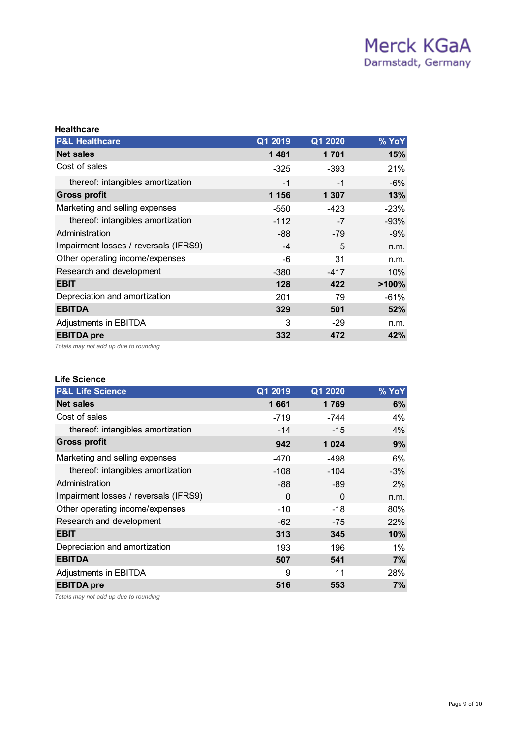| <b>Healthcare</b>                     |         |         |        |
|---------------------------------------|---------|---------|--------|
| <b>P&amp;L Healthcare</b>             | Q1 2019 | Q1 2020 | % YoY  |
| <b>Net sales</b>                      | 1481    | 1 701   | 15%    |
| Cost of sales                         | $-325$  | -393    | 21%    |
| thereof: intangibles amortization     | $-1$    | $-1$    | $-6%$  |
| <b>Gross profit</b>                   | 1 1 5 6 | 1 307   | 13%    |
| Marketing and selling expenses        | $-550$  | -423    | $-23%$ |
| thereof: intangibles amortization     | $-112$  | $-7$    | $-93%$ |
| Administration                        | -88     | $-79$   | -9%    |
| Impairment losses / reversals (IFRS9) | $-4$    | 5       | n.m.   |
| Other operating income/expenses       | -6      | 31      | n.m.   |
| Research and development              | $-380$  | $-417$  | 10%    |
| <b>EBIT</b>                           | 128     | 422     | >100%  |
| Depreciation and amortization         | 201     | 79      | $-61%$ |
| <b>EBITDA</b>                         | 329     | 501     | 52%    |
| Adjustments in EBITDA                 | 3       | $-29$   | n.m.   |
| <b>EBITDA</b> pre                     | 332     | 472     | 42%    |
|                                       |         |         |        |

*Totals may not add up due to rounding*

## **Life Science**

| <b>P&amp;L Life Science</b>           | Q1 2019  | Q1 2020  | % YoY |
|---------------------------------------|----------|----------|-------|
| <b>Net sales</b>                      | 1661     | 1769     | 6%    |
| Cost of sales                         | $-719$   | -744     | 4%    |
| thereof: intangibles amortization     | $-14$    | $-15$    | 4%    |
| <b>Gross profit</b>                   | 942      | 1 0 24   | 9%    |
| Marketing and selling expenses        | -470     | -498     | 6%    |
| thereof: intangibles amortization     | $-108$   | $-104$   | $-3%$ |
| Administration                        | -88      | -89      | $2\%$ |
| Impairment losses / reversals (IFRS9) | $\Omega$ | $\Omega$ | n.m.  |
| Other operating income/expenses       | $-10$    | $-18$    | 80%   |
| Research and development              | -62      | $-75$    | 22%   |
| <b>EBIT</b>                           | 313      | 345      | 10%   |
| Depreciation and amortization         | 193      | 196      | 1%    |
| <b>EBITDA</b>                         | 507      | 541      | 7%    |
| Adjustments in EBITDA                 | 9        | 11       | 28%   |
| <b>EBITDA</b> pre                     | 516      | 553      | 7%    |
|                                       |          |          |       |

*Totals may not add up due to rounding*